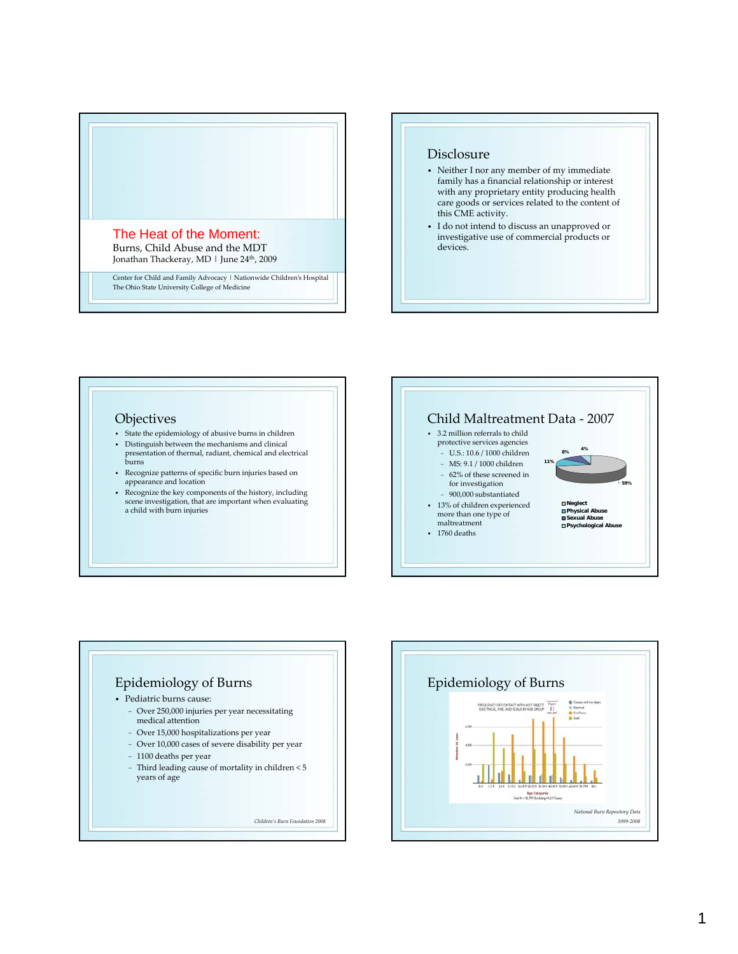

#### Disclosure

- Neither I nor any member of my immediate family has a financial relationship or interest with any proprietary entity producing health care goods or services related to the content of this CME activity.
- I do not intend to discuss an unapproved or investigative use of commercial products or devices.

#### **Objectives**

- State the epidemiology of abusive burns in children
- $\bullet~$  Distinguish between the mechanisms and clinical presentation of thermal, radiant, chemical and electrical burns
- Recognize patterns of specific burn injuries based on appearance and location
- Recognize the key components of the history, including scene investigation, that are important when evaluating a child with burn injuries





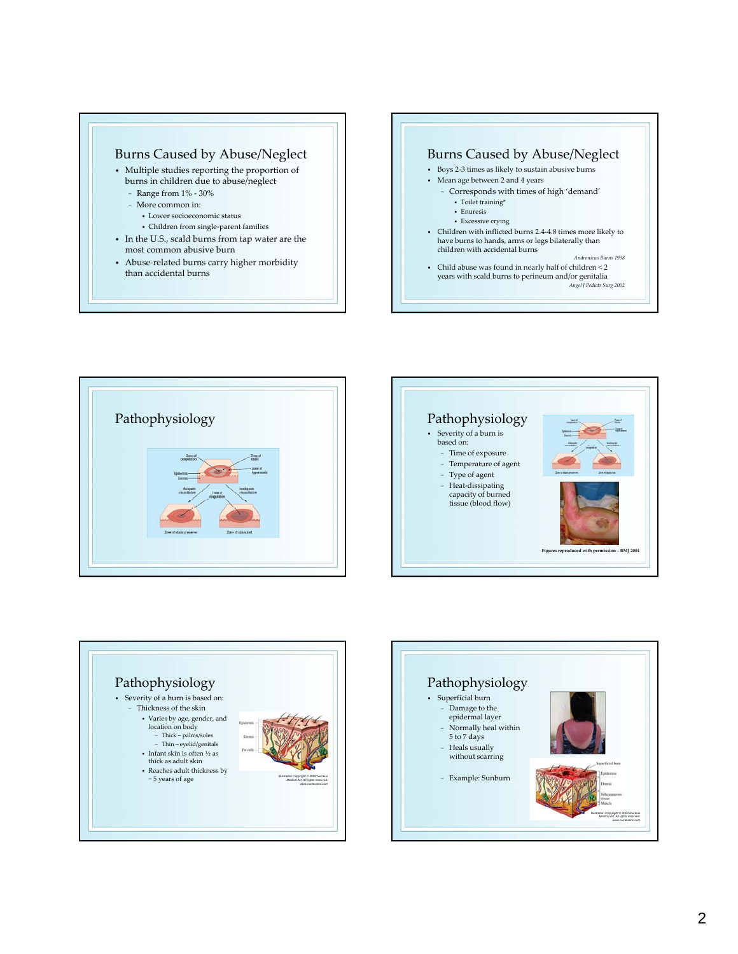# Burns Caused by Abuse/Neglect

- Multiple studies reporting the proportion of burns in children due to abuse/neglect
	- − Range from 1% ‐ 30%
	- − More common in:
		- Lower socioeconomic status
		- Children from single‐parent families
- In the U.S., scald burns from tap water are the most common abusive burn
- Abuse‐related burns carry higher morbidity than accidental burns

#### Burns Caused by Abuse/Neglect • Boys 2‐3 times as likely to sustain abusive burns • Mean age between 2 and 4 years − Corresponds with times of high 'demand'

- Toilet training\*
- Enuresis
- Excessive crying
- Children with inflicted burns 2.4‐4.8 times more likely to have burns to hands, arms or legs bilaterally than children with accidental burns
- *Andronicus Burns 1998* • Child abuse was found in nearly half of children < 2 years with scald burns to perineum and/or genitalia

*Angel J Pediatr Surg 2002*







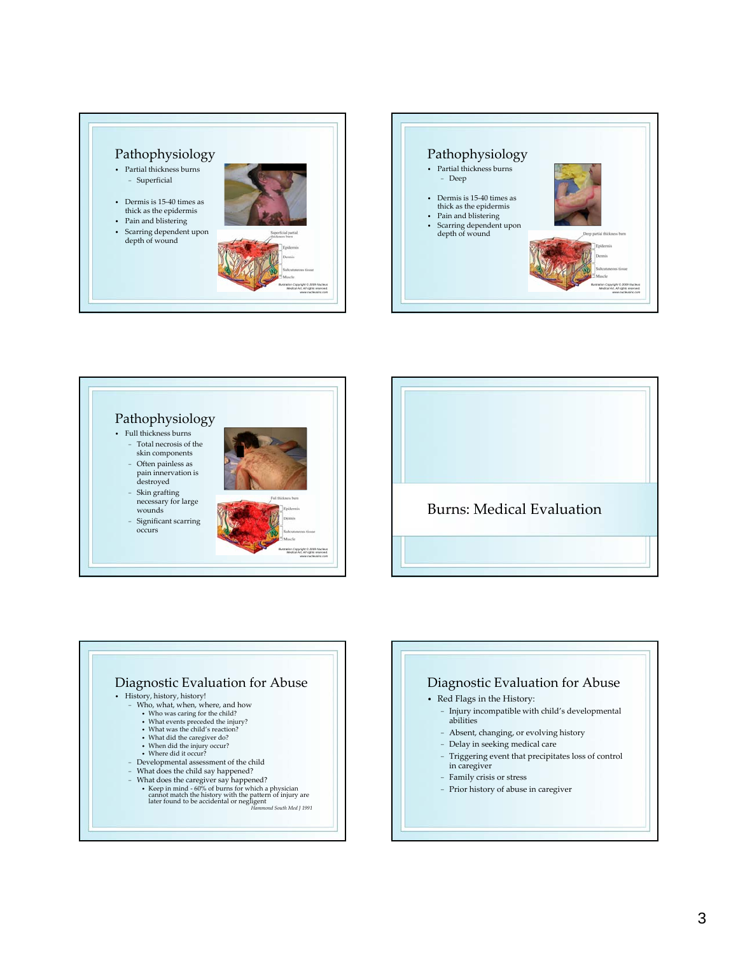# Pathophysiology

- Partial thickness burns − Superficial
- Dermis is 15-40 times as thick as the epidermis
- Pain and blistering
- Scarring dependent upon depth of wound











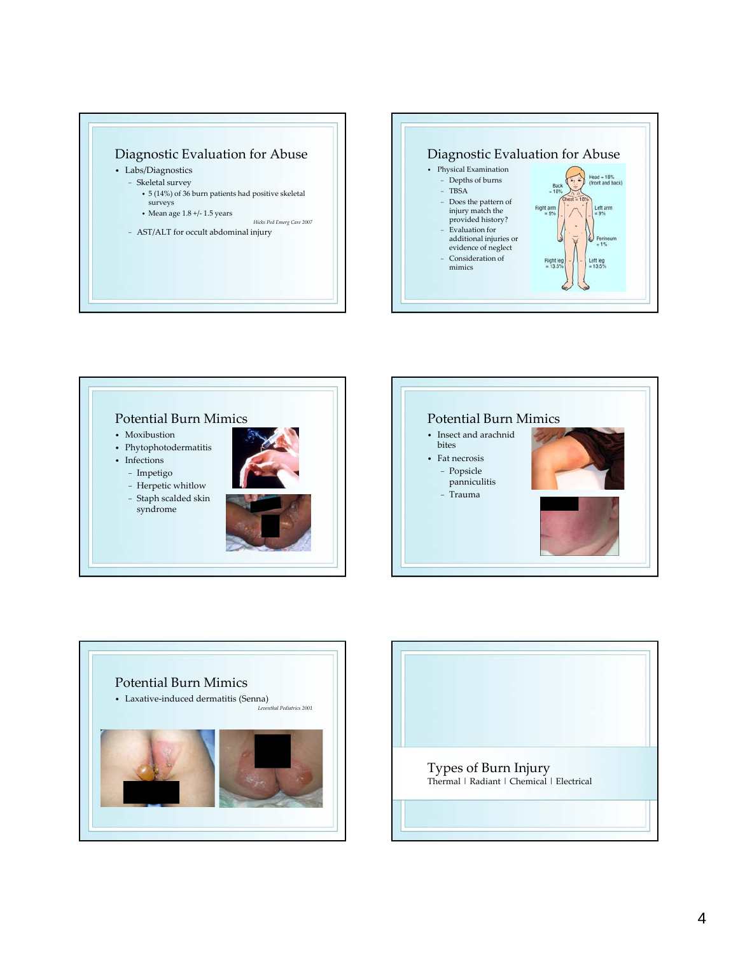









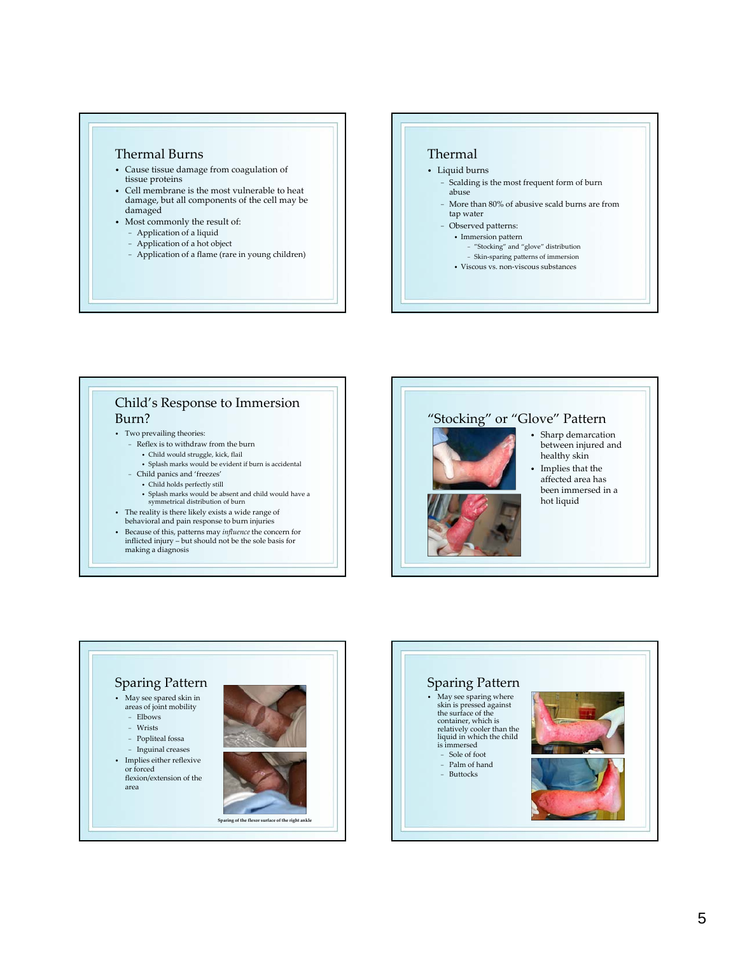## Thermal Burns

- Cause tissue damage from coagulation of tissue proteins
- Cell membrane is the most vulnerable to heat damage, but all components of the cell may be damaged
- Most commonly the result of:
	- − Application of a liquid
	- − Application of a hot object
	- − Application of a flame (rare in young children)

# Thermal

- Liquid burns
	- − Scalding is the most frequent form of burn abuse
	- − More than 80% of abusive scald burns are from tap water
	- − Observed patterns:
		- Immersion pattern
		- − "Stocking" and "glove" distribution
		- − Skin‐sparing patterns of immersion
		- Viscous vs. non‐viscous substances

# Child's Response to Immersion Burn?

- Two prevailing theories:
	- − Reflex is to withdraw from the burn
	- Child would struggle, kick, flail
	- Splash marks would be evident if burn is accidental
	- Child panics and 'freezes'
		- Child holds perfectly still
		- Splash marks would be absent and child would have a symmetrical distribution of burn
- The reality is there likely exists a wide range of behavioral and pain response to burn injuries
- 
- Because of this, patterns may *influence* the concern for inflicted injury but should not be the sole basis for making a diagnosis

# "Stocking" or "Glove" Pattern

- 
- Sharp demarcation between injured and healthy skin
- Implies that the affected area has
- been immersed in a hot liquid



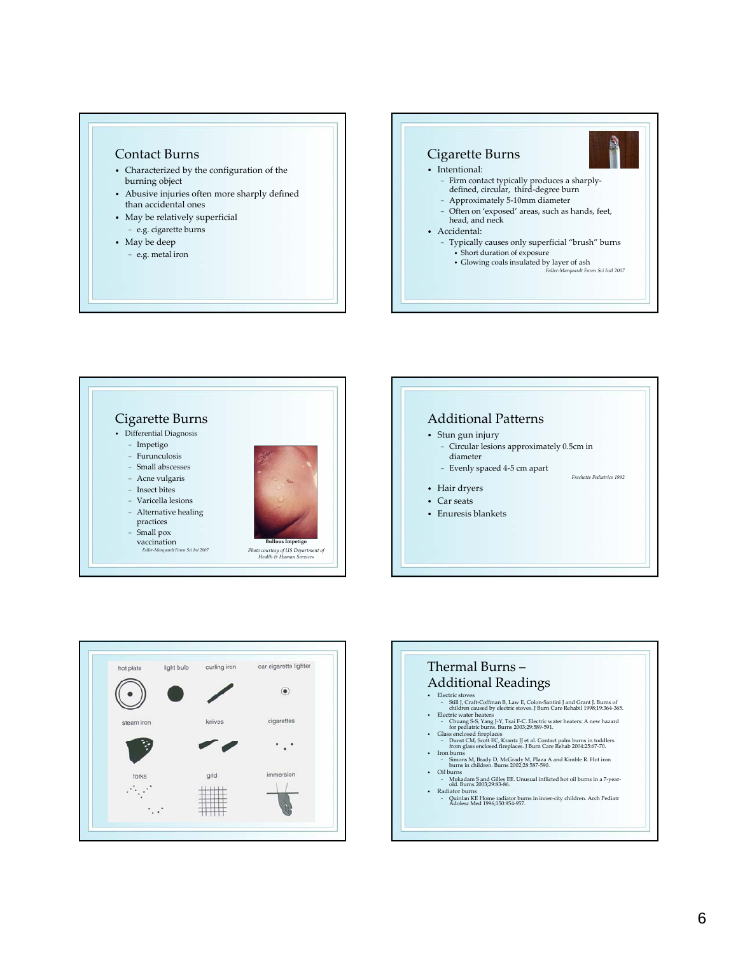### Contact Burns

- Characterized by the configuration of the burning object
- Abusive injuries often more sharply defined than accidental ones
- May be relatively superficial − e.g. cigarette burns
- May be deep
- − e.g. metal iron









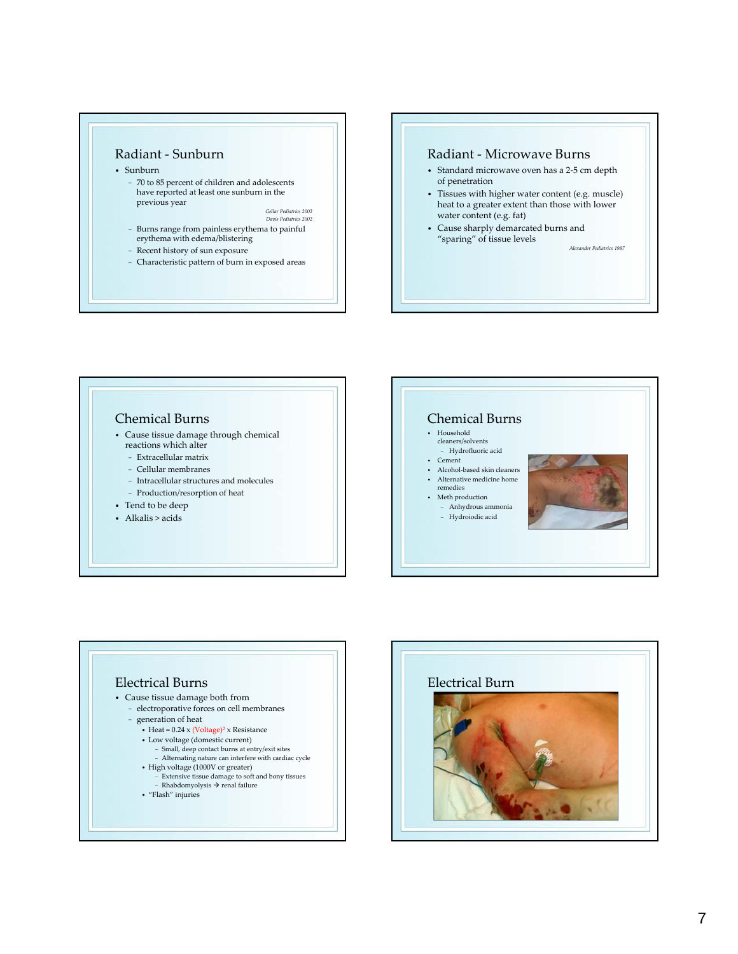

- Sunburn
	- − 70 to 85 percent of children and adolescents have reported at least one sunburn in the previous year

*Gellar Pediatrics 2002 Davis Pediatrics 2002*

- − Burns range from painless erythema to painful erythema with edema/blistering
- − Recent history of sun exposure
- − Characteristic pattern of burn in exposed areas

#### Radiant ‐ Microwave Burns

- Standard microwave oven has a 2‐5 cm depth of penetration
- Tissues with higher water content (e.g. muscle) heat to a greater extent than those with lower water content (e.g. fat)
- Cause sharply demarcated burns and "sparing" of tissue levels *Alexander Pediatrics 1987*

#### Chemical Burns • Cause tissue damage through chemical reactions which alter − Extracellular matrix − Cellular membranes − Intracellular structures and molecules − Production/resorption of heat • Tend to be deep • Alkalis > acids Chemical Burns • Household cleaners/solvents − Hydrofluoric acid • Cement • Alcohol-based skin cleaners • Alternative medicine home remedies • Meth production − Anhydrous ammonia − Hydroiodic acid



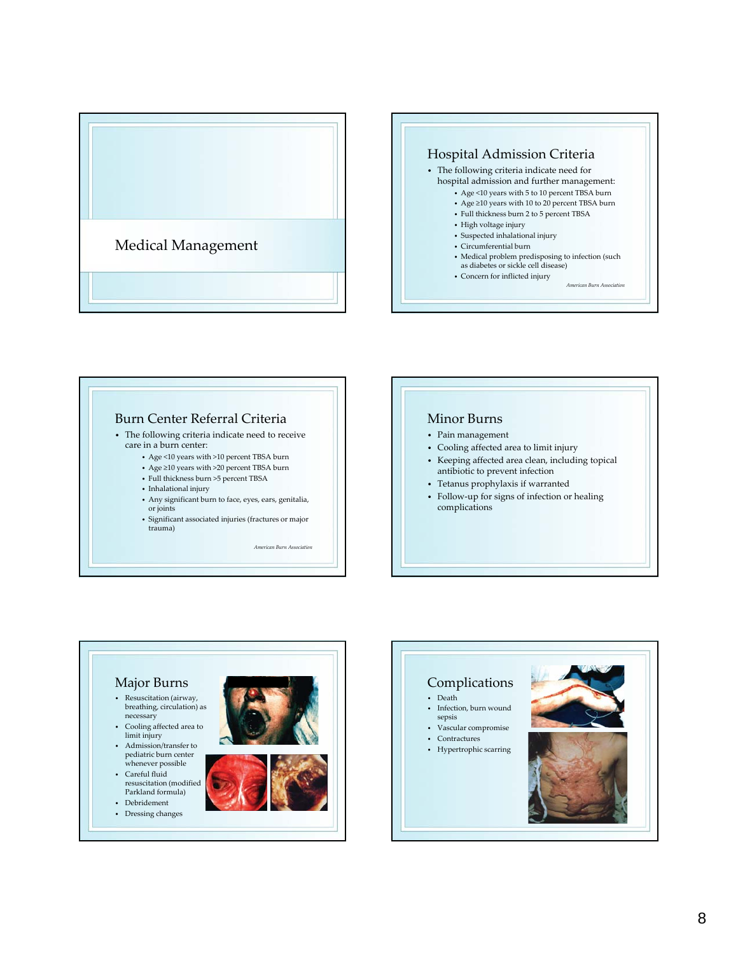







- Pain management
- Cooling affected area to limit injury
- Keeping affected area clean, including topical antibiotic to prevent infection
- Tetanus prophylaxis if warranted
- Follow‐up for signs of infection or healing complications



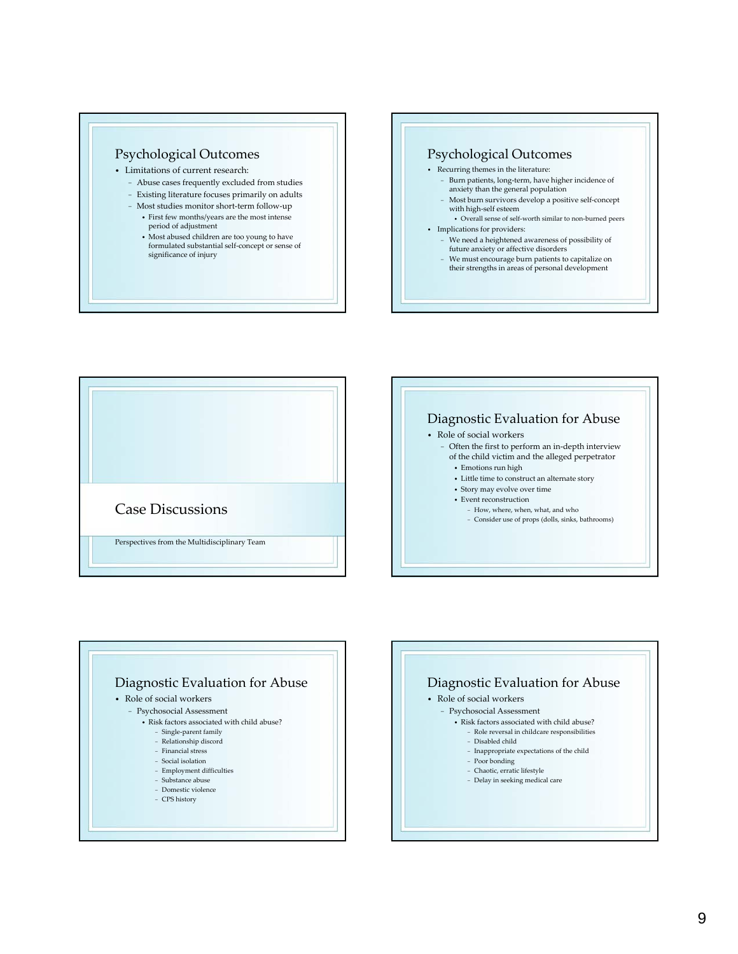

- Limitations of current research:
	- − Abuse cases frequently excluded from studies
	- − Existing literature focuses primarily on adults
	- − Most studies monitor short‐term follow‐up
		- First few months/years are the most intense period of adjustment
		- Most abused children are too young to have formulated substantial self‐concept or sense of significance of injury

### Psychological Outcomes

- Recurring themes in the literature:
	- − Burn patients, long‐term, have higher incidence of anxiety than the general population
	- − Most burn survivors develop a positive self‐concept with high‐self esteem
- Overall sense of self-worth similar to non-burned peers • Implications for providers:
	- − We need a heightened awareness of possibility of future anxiety or affective disorders
	- − We must encourage burn patients to capitalize on their strengths in areas of personal development







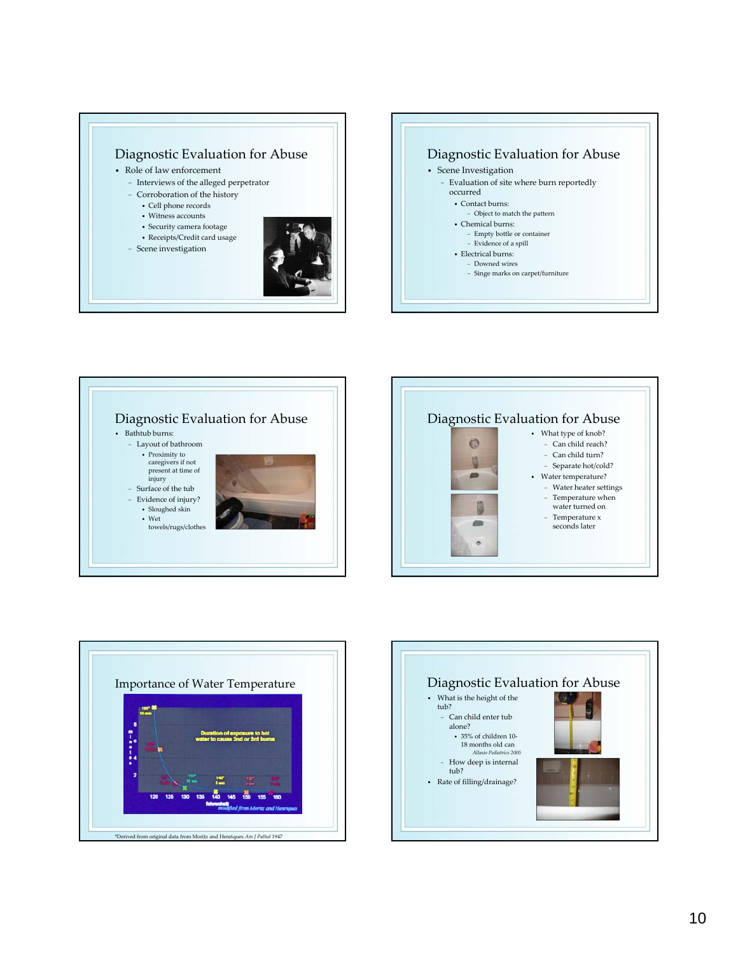





 $\bullet$ 0 **AB** 9

> **Allis**  $\circ$

- What type of knob? − Can child reach? − Can child turn?
	- − Separate hot/cold?
- Water temperature? − Water heater settings
	- − Temperature when water turned on
	- − Temperature x seconds later